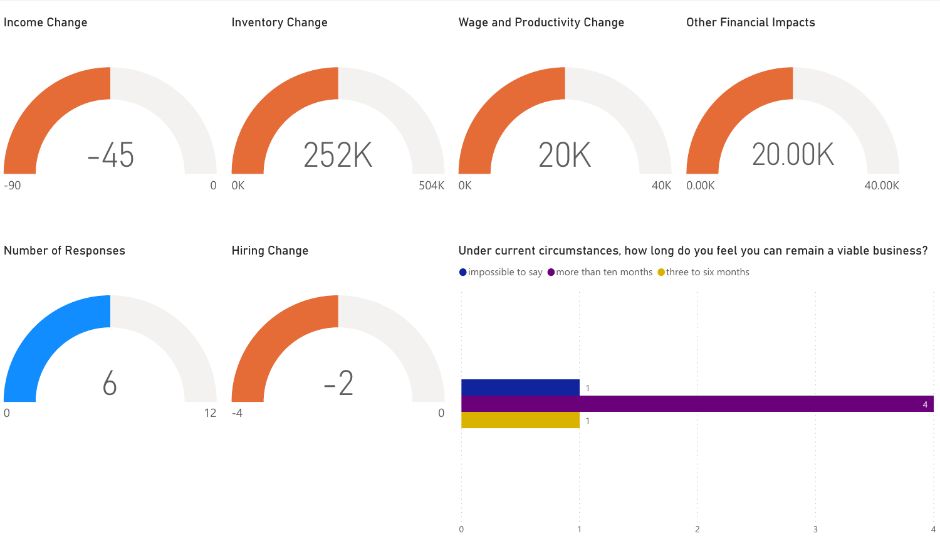